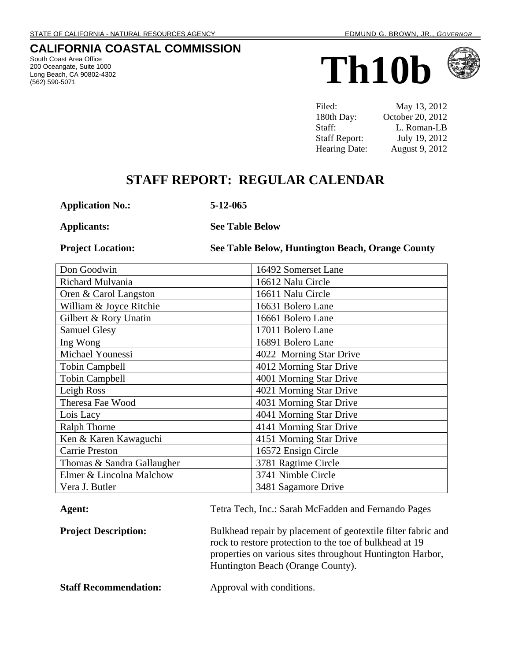# **CALIFORNIA COASTAL COMMISSION**

South Coast Area Office 200 Oceangate, Suite 1000 Long Beach, CA 90802-4302





| Filed:               | May 13, 2012     |
|----------------------|------------------|
| 180th Day:           | October 20, 2012 |
| Staff:               | L. Roman-LB      |
| <b>Staff Report:</b> | July 19, 2012    |
| Hearing Date:        | August 9, 2012   |

# **STAFF REPORT: REGULAR CALENDAR**

**Application No.: 5-12-065**

**Applicants: See Table Below**

**Project Location: See Table Below, Huntington Beach, Orange County**

| Don Goodwin                | 16492 Somerset Lane     |
|----------------------------|-------------------------|
| Richard Mulvania           | 16612 Nalu Circle       |
| Oren & Carol Langston      | 16611 Nalu Circle       |
| William & Joyce Ritchie    | 16631 Bolero Lane       |
| Gilbert & Rory Unatin      | 16661 Bolero Lane       |
| <b>Samuel Glesy</b>        | 17011 Bolero Lane       |
| Ing Wong                   | 16891 Bolero Lane       |
| Michael Younessi           | 4022 Morning Star Drive |
| <b>Tobin Campbell</b>      | 4012 Morning Star Drive |
| <b>Tobin Campbell</b>      | 4001 Morning Star Drive |
| Leigh Ross                 | 4021 Morning Star Drive |
| Theresa Fae Wood           | 4031 Morning Star Drive |
| Lois Lacy                  | 4041 Morning Star Drive |
| <b>Ralph Thorne</b>        | 4141 Morning Star Drive |
| Ken & Karen Kawaguchi      | 4151 Morning Star Drive |
| <b>Carrie Preston</b>      | 16572 Ensign Circle     |
| Thomas & Sandra Gallaugher | 3781 Ragtime Circle     |
| Elmer & Lincolna Malchow   | 3741 Nimble Circle      |
| Vera J. Butler             | 3481 Sagamore Drive     |

| Agent:                       | Tetra Tech, Inc.: Sarah McFadden and Fernando Pages                                                                                                                                                                       |
|------------------------------|---------------------------------------------------------------------------------------------------------------------------------------------------------------------------------------------------------------------------|
| <b>Project Description:</b>  | Bulkhead repair by placement of geotextile filter fabric and<br>rock to restore protection to the toe of bulkhead at 19<br>properties on various sites throughout Huntington Harbor,<br>Huntington Beach (Orange County). |
| <b>Staff Recommendation:</b> | Approval with conditions.                                                                                                                                                                                                 |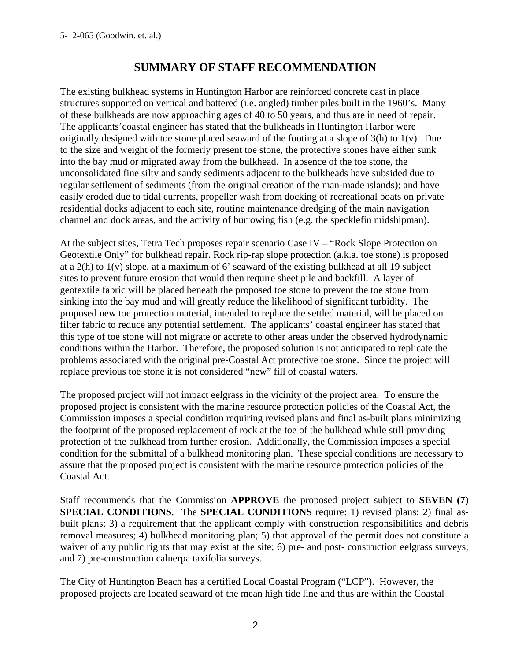# **SUMMARY OF STAFF RECOMMENDATION**

The existing bulkhead systems in Huntington Harbor are reinforced concrete cast in place structures supported on vertical and battered (i.e. angled) timber piles built in the 1960's. Many of these bulkheads are now approaching ages of 40 to 50 years, and thus are in need of repair. The applicants'coastal engineer has stated that the bulkheads in Huntington Harbor were originally designed with toe stone placed seaward of the footing at a slope of 3(h) to 1(v). Due to the size and weight of the formerly present toe stone, the protective stones have either sunk into the bay mud or migrated away from the bulkhead. In absence of the toe stone, the unconsolidated fine silty and sandy sediments adjacent to the bulkheads have subsided due to regular settlement of sediments (from the original creation of the man-made islands); and have easily eroded due to tidal currents, propeller wash from docking of recreational boats on private residential docks adjacent to each site, routine maintenance dredging of the main navigation channel and dock areas, and the activity of burrowing fish (e.g. the specklefin midshipman).

At the subject sites, Tetra Tech proposes repair scenario Case IV – "Rock Slope Protection on Geotextile Only" for bulkhead repair. Rock rip-rap slope protection (a.k.a. toe stone) is proposed at a 2(h) to 1(v) slope, at a maximum of 6' seaward of the existing bulkhead at all 19 subject sites to prevent future erosion that would then require sheet pile and backfill. A layer of geotextile fabric will be placed beneath the proposed toe stone to prevent the toe stone from sinking into the bay mud and will greatly reduce the likelihood of significant turbidity. The proposed new toe protection material, intended to replace the settled material, will be placed on filter fabric to reduce any potential settlement. The applicants' coastal engineer has stated that this type of toe stone will not migrate or accrete to other areas under the observed hydrodynamic conditions within the Harbor. Therefore, the proposed solution is not anticipated to replicate the problems associated with the original pre-Coastal Act protective toe stone. Since the project will replace previous toe stone it is not considered "new" fill of coastal waters.

The proposed project will not impact eelgrass in the vicinity of the project area. To ensure the proposed project is consistent with the marine resource protection policies of the Coastal Act, the Commission imposes a special condition requiring revised plans and final as-built plans minimizing the footprint of the proposed replacement of rock at the toe of the bulkhead while still providing protection of the bulkhead from further erosion. Additionally, the Commission imposes a special condition for the submittal of a bulkhead monitoring plan. These special conditions are necessary to assure that the proposed project is consistent with the marine resource protection policies of the Coastal Act.

Staff recommends that the Commission **APPROVE** the proposed project subject to **SEVEN (7) SPECIAL CONDITIONS**. The **SPECIAL CONDITIONS** require: 1) revised plans; 2) final asbuilt plans; 3) a requirement that the applicant comply with construction responsibilities and debris removal measures; 4) bulkhead monitoring plan; 5) that approval of the permit does not constitute a waiver of any public rights that may exist at the site; 6) pre- and post-construction eelgrass surveys; and 7) pre-construction caluerpa taxifolia surveys.

The City of Huntington Beach has a certified Local Coastal Program ("LCP"). However, the proposed projects are located seaward of the mean high tide line and thus are within the Coastal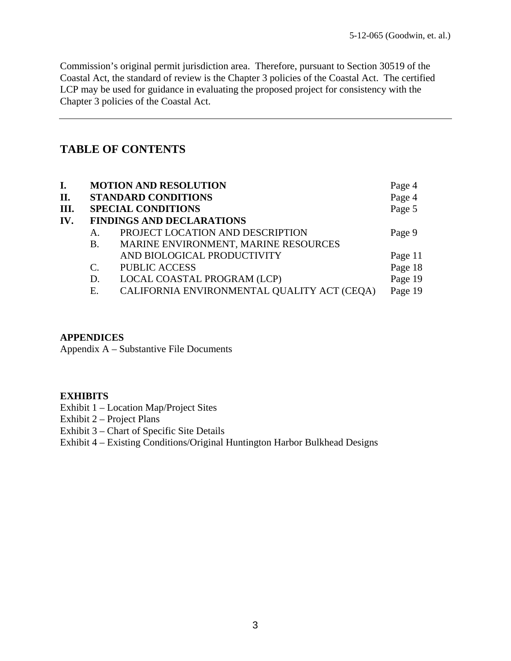Commission's original permit jurisdiction area. Therefore, pursuant to Section 30519 of the Coastal Act, the standard of review is the Chapter 3 policies of the Coastal Act. The certified LCP may be used for guidance in evaluating the proposed project for consistency with the Chapter 3 policies of the Coastal Act.

# **TABLE OF CONTENTS**

| I.   |                 | <b>MOTION AND RESOLUTION</b>                | Page 4  |
|------|-----------------|---------------------------------------------|---------|
| П.   |                 | <b>STANDARD CONDITIONS</b>                  | Page 4  |
| III. |                 | <b>SPECIAL CONDITIONS</b>                   | Page 5  |
| IV.  |                 | <b>FINDINGS AND DECLARATIONS</b>            |         |
|      | А.              | PROJECT LOCATION AND DESCRIPTION            | Page 9  |
|      | В.              | MARINE ENVIRONMENT, MARINE RESOURCES        |         |
|      |                 | AND BIOLOGICAL PRODUCTIVITY                 | Page 11 |
|      | $\mathcal{C}$ . | <b>PUBLIC ACCESS</b>                        | Page 18 |
|      | D.              | LOCAL COASTAL PROGRAM (LCP)                 | Page 19 |
|      | Е.              | CALIFORNIA ENVIRONMENTAL QUALITY ACT (CEQA) | Page 19 |

#### **APPENDICES**

Appendix A – Substantive File Documents

#### **EXHIBITS**

Exhibit 1 – Location Map/Project Sites

Exhibit 2 – Project Plans

Exhibit 3 – Chart of Specific Site Details

Exhibit 4 – Existing Conditions/Original Huntington Harbor Bulkhead Designs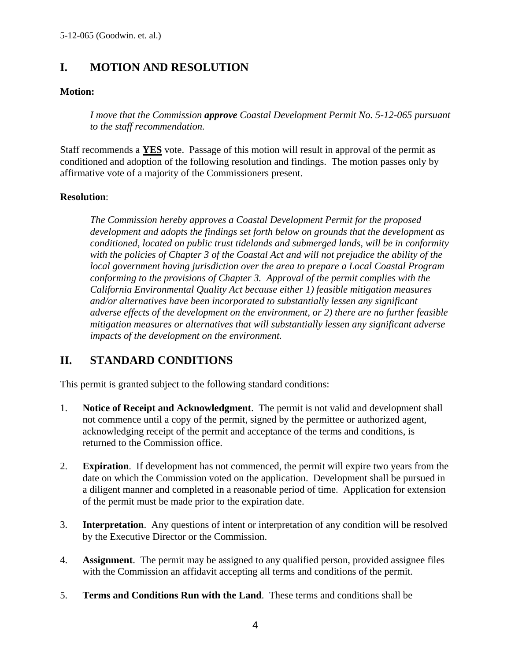# **I. MOTION AND RESOLUTION**

#### **Motion:**

*I move that the Commission approve Coastal Development Permit No. 5-12-065 pursuant to the staff recommendation.* 

Staff recommends a **YES** vote. Passage of this motion will result in approval of the permit as conditioned and adoption of the following resolution and findings. The motion passes only by affirmative vote of a majority of the Commissioners present.

#### **Resolution**:

*The Commission hereby approves a Coastal Development Permit for the proposed development and adopts the findings set forth below on grounds that the development as conditioned, located on public trust tidelands and submerged lands, will be in conformity with the policies of Chapter 3 of the Coastal Act and will not prejudice the ability of the local government having jurisdiction over the area to prepare a Local Coastal Program conforming to the provisions of Chapter 3. Approval of the permit complies with the California Environmental Quality Act because either 1) feasible mitigation measures and/or alternatives have been incorporated to substantially lessen any significant adverse effects of the development on the environment, or 2) there are no further feasible mitigation measures or alternatives that will substantially lessen any significant adverse impacts of the development on the environment.* 

# **II. STANDARD CONDITIONS**

This permit is granted subject to the following standard conditions:

- 1. **Notice of Receipt and Acknowledgment**. The permit is not valid and development shall not commence until a copy of the permit, signed by the permittee or authorized agent, acknowledging receipt of the permit and acceptance of the terms and conditions, is returned to the Commission office.
- 2. **Expiration**. If development has not commenced, the permit will expire two years from the date on which the Commission voted on the application. Development shall be pursued in a diligent manner and completed in a reasonable period of time. Application for extension of the permit must be made prior to the expiration date.
- 3. **Interpretation**. Any questions of intent or interpretation of any condition will be resolved by the Executive Director or the Commission.
- 4. **Assignment**. The permit may be assigned to any qualified person, provided assignee files with the Commission an affidavit accepting all terms and conditions of the permit.
- 5. **Terms and Conditions Run with the Land**. These terms and conditions shall be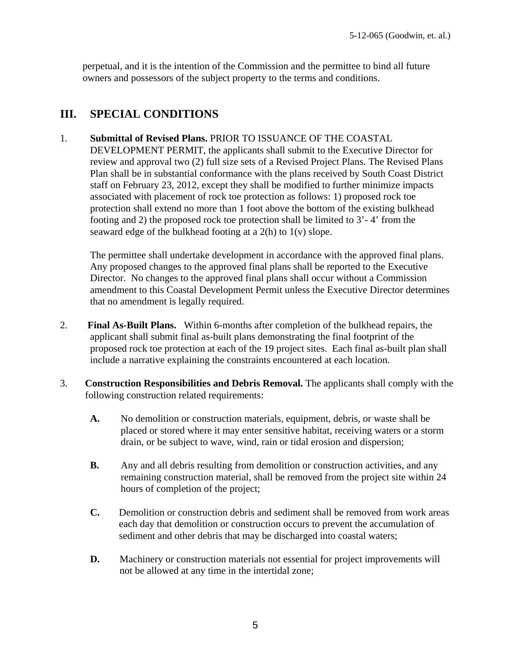perpetual, and it is the intention of the Commission and the permittee to bind all future owners and possessors of the subject property to the terms and conditions.

# **III. SPECIAL CONDITIONS**

#### 1. **Submittal of Revised Plans.** PRIOR TO ISSUANCE OF THE COASTAL

DEVELOPMENT PERMIT, the applicants shall submit to the Executive Director for review and approval two (2) full size sets of a Revised Project Plans. The Revised Plans Plan shall be in substantial conformance with the plans received by South Coast District staff on February 23, 2012, except they shall be modified to further minimize impacts associated with placement of rock toe protection as follows: 1) proposed rock toe protection shall extend no more than 1 foot above the bottom of the existing bulkhead footing and 2) the proposed rock toe protection shall be limited to 3'- 4' from the seaward edge of the bulkhead footing at a 2(h) to 1(v) slope.

The permittee shall undertake development in accordance with the approved final plans. Any proposed changes to the approved final plans shall be reported to the Executive Director. No changes to the approved final plans shall occur without a Commission amendment to this Coastal Development Permit unless the Executive Director determines that no amendment is legally required.

- 2. **Final As-Built Plans.** Within 6-months after completion of the bulkhead repairs, the applicant shall submit final as-built plans demonstrating the final footprint of the proposed rock toe protection at each of the 19 project sites. Each final as-built plan shall include a narrative explaining the constraints encountered at each location.
- 3. **Construction Responsibilities and Debris Removal.** The applicants shall comply with the following construction related requirements:
	- **A.** No demolition or construction materials, equipment, debris, or waste shall be placed or stored where it may enter sensitive habitat, receiving waters or a storm drain, or be subject to wave, wind, rain or tidal erosion and dispersion;
	- **B.** Any and all debris resulting from demolition or construction activities, and any remaining construction material, shall be removed from the project site within 24 hours of completion of the project;
	- **C.** Demolition or construction debris and sediment shall be removed from work areas each day that demolition or construction occurs to prevent the accumulation of sediment and other debris that may be discharged into coastal waters;
	- **D.** Machinery or construction materials not essential for project improvements will not be allowed at any time in the intertidal zone;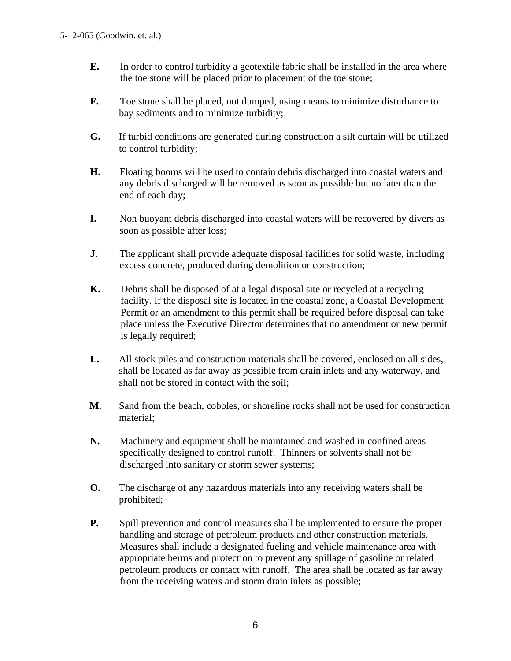- **E.** In order to control turbidity a geotextile fabric shall be installed in the area where the toe stone will be placed prior to placement of the toe stone;
- **F.** Toe stone shall be placed, not dumped, using means to minimize disturbance to bay sediments and to minimize turbidity;
- **G.** If turbid conditions are generated during construction a silt curtain will be utilized to control turbidity;
- **H.** Floating booms will be used to contain debris discharged into coastal waters and any debris discharged will be removed as soon as possible but no later than the end of each day;
- **I.** Non buoyant debris discharged into coastal waters will be recovered by divers as soon as possible after loss;
- **J.** The applicant shall provide adequate disposal facilities for solid waste, including excess concrete, produced during demolition or construction;
- **K.** Debris shall be disposed of at a legal disposal site or recycled at a recycling facility. If the disposal site is located in the coastal zone, a Coastal Development Permit or an amendment to this permit shall be required before disposal can take place unless the Executive Director determines that no amendment or new permit is legally required;
- **L.** All stock piles and construction materials shall be covered, enclosed on all sides, shall be located as far away as possible from drain inlets and any waterway, and shall not be stored in contact with the soil;
- **M.** Sand from the beach, cobbles, or shoreline rocks shall not be used for construction material;
- **N.** Machinery and equipment shall be maintained and washed in confined areas specifically designed to control runoff. Thinners or solvents shall not be discharged into sanitary or storm sewer systems;
- **O.** The discharge of any hazardous materials into any receiving waters shall be prohibited;
- **P.** Spill prevention and control measures shall be implemented to ensure the proper handling and storage of petroleum products and other construction materials. Measures shall include a designated fueling and vehicle maintenance area with appropriate berms and protection to prevent any spillage of gasoline or related petroleum products or contact with runoff. The area shall be located as far away from the receiving waters and storm drain inlets as possible;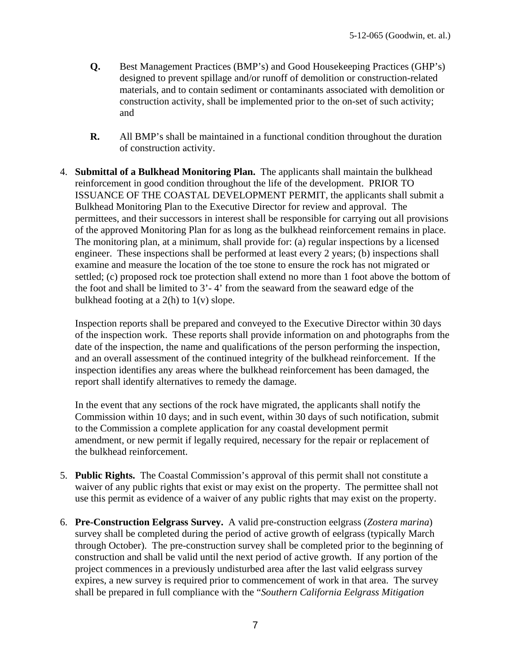- **Q.** Best Management Practices (BMP's) and Good Housekeeping Practices (GHP's) designed to prevent spillage and/or runoff of demolition or construction-related materials, and to contain sediment or contaminants associated with demolition or construction activity, shall be implemented prior to the on-set of such activity; and
- **R.** All BMP's shall be maintained in a functional condition throughout the duration of construction activity.
- 4. **Submittal of a Bulkhead Monitoring Plan.** The applicants shall maintain the bulkhead reinforcement in good condition throughout the life of the development. PRIOR TO ISSUANCE OF THE COASTAL DEVELOPMENT PERMIT, the applicants shall submit a Bulkhead Monitoring Plan to the Executive Director for review and approval. The permittees, and their successors in interest shall be responsible for carrying out all provisions of the approved Monitoring Plan for as long as the bulkhead reinforcement remains in place. The monitoring plan, at a minimum, shall provide for: (a) regular inspections by a licensed engineer. These inspections shall be performed at least every 2 years; (b) inspections shall examine and measure the location of the toe stone to ensure the rock has not migrated or settled; (c) proposed rock toe protection shall extend no more than 1 foot above the bottom of the foot and shall be limited to 3'- 4' from the seaward from the seaward edge of the bulkhead footing at a  $2(h)$  to  $1(v)$  slope.

Inspection reports shall be prepared and conveyed to the Executive Director within 30 days of the inspection work. These reports shall provide information on and photographs from the date of the inspection, the name and qualifications of the person performing the inspection, and an overall assessment of the continued integrity of the bulkhead reinforcement. If the inspection identifies any areas where the bulkhead reinforcement has been damaged, the report shall identify alternatives to remedy the damage.

In the event that any sections of the rock have migrated, the applicants shall notify the Commission within 10 days; and in such event, within 30 days of such notification, submit to the Commission a complete application for any coastal development permit amendment, or new permit if legally required, necessary for the repair or replacement of the bulkhead reinforcement.

- 5. **Public Rights.** The Coastal Commission's approval of this permit shall not constitute a waiver of any public rights that exist or may exist on the property. The permittee shall not use this permit as evidence of a waiver of any public rights that may exist on the property.
- 6. **Pre-Construction Eelgrass Survey.** A valid pre-construction eelgrass (*Zostera marina*) survey shall be completed during the period of active growth of eelgrass (typically March through October). The pre-construction survey shall be completed prior to the beginning of construction and shall be valid until the next period of active growth. If any portion of the project commences in a previously undisturbed area after the last valid eelgrass survey expires, a new survey is required prior to commencement of work in that area. The survey shall be prepared in full compliance with the "*Southern California Eelgrass Mitigation*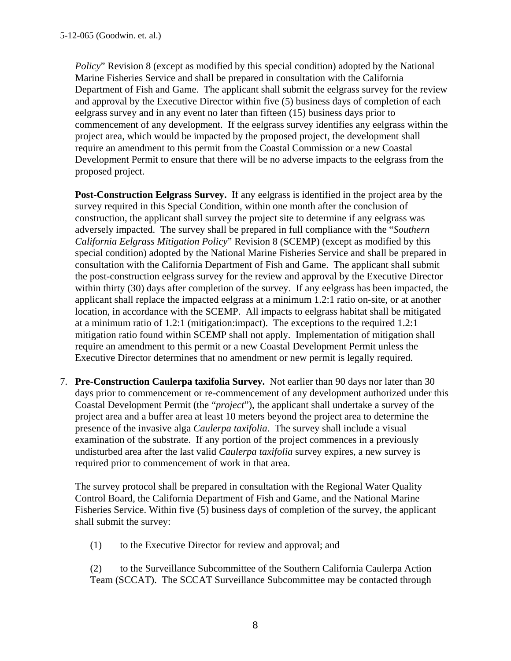*Policy*" Revision 8 (except as modified by this special condition) adopted by the National Marine Fisheries Service and shall be prepared in consultation with the California Department of Fish and Game. The applicant shall submit the eelgrass survey for the review and approval by the Executive Director within five (5) business days of completion of each eelgrass survey and in any event no later than fifteen (15) business days prior to commencement of any development. If the eelgrass survey identifies any eelgrass within the project area, which would be impacted by the proposed project, the development shall require an amendment to this permit from the Coastal Commission or a new Coastal Development Permit to ensure that there will be no adverse impacts to the eelgrass from the proposed project.

 **Post-Construction Eelgrass Survey.** If any eelgrass is identified in the project area by the survey required in this Special Condition, within one month after the conclusion of construction, the applicant shall survey the project site to determine if any eelgrass was adversely impacted. The survey shall be prepared in full compliance with the "*Southern California Eelgrass Mitigation Policy*" Revision 8 (SCEMP) (except as modified by this special condition) adopted by the National Marine Fisheries Service and shall be prepared in consultation with the California Department of Fish and Game. The applicant shall submit the post-construction eelgrass survey for the review and approval by the Executive Director within thirty (30) days after completion of the survey. If any eelgrass has been impacted, the applicant shall replace the impacted eelgrass at a minimum 1.2:1 ratio on-site, or at another location, in accordance with the SCEMP. All impacts to eelgrass habitat shall be mitigated at a minimum ratio of 1.2:1 (mitigation:impact). The exceptions to the required 1.2:1 mitigation ratio found within SCEMP shall not apply. Implementation of mitigation shall require an amendment to this permit or a new Coastal Development Permit unless the Executive Director determines that no amendment or new permit is legally required.

7. **Pre-Construction Caulerpa taxifolia Survey.** Not earlier than 90 days nor later than 30 days prior to commencement or re-commencement of any development authorized under this Coastal Development Permit (the "*project*"), the applicant shall undertake a survey of the project area and a buffer area at least 10 meters beyond the project area to determine the presence of the invasive alga *Caulerpa taxifolia*. The survey shall include a visual examination of the substrate. If any portion of the project commences in a previously undisturbed area after the last valid *Caulerpa taxifolia* survey expires, a new survey is required prior to commencement of work in that area.

The survey protocol shall be prepared in consultation with the Regional Water Quality Control Board, the California Department of Fish and Game, and the National Marine Fisheries Service. Within five (5) business days of completion of the survey, the applicant shall submit the survey:

(1) to the Executive Director for review and approval; and

 (2) to the Surveillance Subcommittee of the Southern California Caulerpa Action Team (SCCAT). The SCCAT Surveillance Subcommittee may be contacted through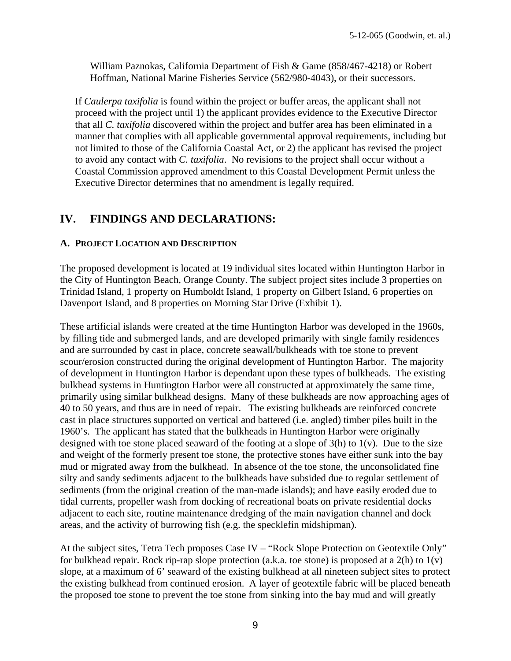William Paznokas, California Department of Fish & Game (858/467-4218) or Robert Hoffman, National Marine Fisheries Service (562/980-4043), or their successors.

If *Caulerpa taxifolia* is found within the project or buffer areas, the applicant shall not proceed with the project until 1) the applicant provides evidence to the Executive Director that all *C. taxifolia* discovered within the project and buffer area has been eliminated in a manner that complies with all applicable governmental approval requirements, including but not limited to those of the California Coastal Act, or 2) the applicant has revised the project to avoid any contact with *C. taxifolia*. No revisions to the project shall occur without a Coastal Commission approved amendment to this Coastal Development Permit unless the Executive Director determines that no amendment is legally required.

# **IV. FINDINGS AND DECLARATIONS:**

## **A. PROJECT LOCATION AND DESCRIPTION**

The proposed development is located at 19 individual sites located within Huntington Harbor in the City of Huntington Beach, Orange County. The subject project sites include 3 properties on Trinidad Island, 1 property on Humboldt Island, 1 property on Gilbert Island, 6 properties on Davenport Island, and 8 properties on Morning Star Drive (Exhibit 1).

These artificial islands were created at the time Huntington Harbor was developed in the 1960s, by filling tide and submerged lands, and are developed primarily with single family residences and are surrounded by cast in place, concrete seawall/bulkheads with toe stone to prevent scour/erosion constructed during the original development of Huntington Harbor. The majority of development in Huntington Harbor is dependant upon these types of bulkheads. The existing bulkhead systems in Huntington Harbor were all constructed at approximately the same time, primarily using similar bulkhead designs. Many of these bulkheads are now approaching ages of 40 to 50 years, and thus are in need of repair. The existing bulkheads are reinforced concrete cast in place structures supported on vertical and battered (i.e. angled) timber piles built in the 1960's. The applicant has stated that the bulkheads in Huntington Harbor were originally designed with toe stone placed seaward of the footing at a slope of  $3(h)$  to  $1(v)$ . Due to the size and weight of the formerly present toe stone, the protective stones have either sunk into the bay mud or migrated away from the bulkhead. In absence of the toe stone, the unconsolidated fine silty and sandy sediments adjacent to the bulkheads have subsided due to regular settlement of sediments (from the original creation of the man-made islands); and have easily eroded due to tidal currents, propeller wash from docking of recreational boats on private residential docks adjacent to each site, routine maintenance dredging of the main navigation channel and dock areas, and the activity of burrowing fish (e.g. the specklefin midshipman).

At the subject sites, Tetra Tech proposes Case IV – "Rock Slope Protection on Geotextile Only" for bulkhead repair. Rock rip-rap slope protection (a.k.a. toe stone) is proposed at a  $2(h)$  to  $1(v)$ slope, at a maximum of 6' seaward of the existing bulkhead at all nineteen subject sites to protect the existing bulkhead from continued erosion. A layer of geotextile fabric will be placed beneath the proposed toe stone to prevent the toe stone from sinking into the bay mud and will greatly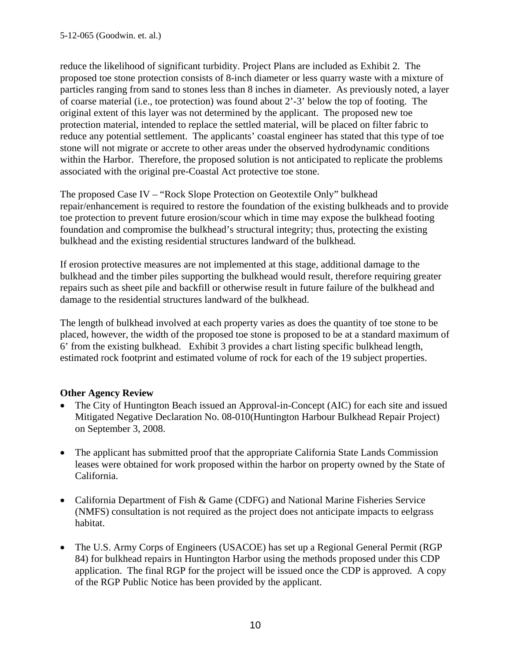reduce the likelihood of significant turbidity. Project Plans are included as Exhibit 2. The proposed toe stone protection consists of 8-inch diameter or less quarry waste with a mixture of particles ranging from sand to stones less than 8 inches in diameter. As previously noted, a layer of coarse material (i.e., toe protection) was found about 2'-3' below the top of footing. The original extent of this layer was not determined by the applicant. The proposed new toe protection material, intended to replace the settled material, will be placed on filter fabric to reduce any potential settlement. The applicants' coastal engineer has stated that this type of toe stone will not migrate or accrete to other areas under the observed hydrodynamic conditions within the Harbor. Therefore, the proposed solution is not anticipated to replicate the problems associated with the original pre-Coastal Act protective toe stone.

The proposed Case IV – "Rock Slope Protection on Geotextile Only" bulkhead repair/enhancement is required to restore the foundation of the existing bulkheads and to provide toe protection to prevent future erosion/scour which in time may expose the bulkhead footing foundation and compromise the bulkhead's structural integrity; thus, protecting the existing bulkhead and the existing residential structures landward of the bulkhead.

If erosion protective measures are not implemented at this stage, additional damage to the bulkhead and the timber piles supporting the bulkhead would result, therefore requiring greater repairs such as sheet pile and backfill or otherwise result in future failure of the bulkhead and damage to the residential structures landward of the bulkhead.

The length of bulkhead involved at each property varies as does the quantity of toe stone to be placed, however, the width of the proposed toe stone is proposed to be at a standard maximum of 6' from the existing bulkhead. Exhibit 3 provides a chart listing specific bulkhead length, estimated rock footprint and estimated volume of rock for each of the 19 subject properties.

#### **Other Agency Review**

- The City of Huntington Beach issued an Approval-in-Concept (AIC) for each site and issued Mitigated Negative Declaration No. 08-010(Huntington Harbour Bulkhead Repair Project) on September 3, 2008.
- The applicant has submitted proof that the appropriate California State Lands Commission leases were obtained for work proposed within the harbor on property owned by the State of California.
- California Department of Fish & Game (CDFG) and National Marine Fisheries Service (NMFS) consultation is not required as the project does not anticipate impacts to eelgrass habitat.
- The U.S. Army Corps of Engineers (USACOE) has set up a Regional General Permit (RGP 84) for bulkhead repairs in Huntington Harbor using the methods proposed under this CDP application. The final RGP for the project will be issued once the CDP is approved. A copy of the RGP Public Notice has been provided by the applicant.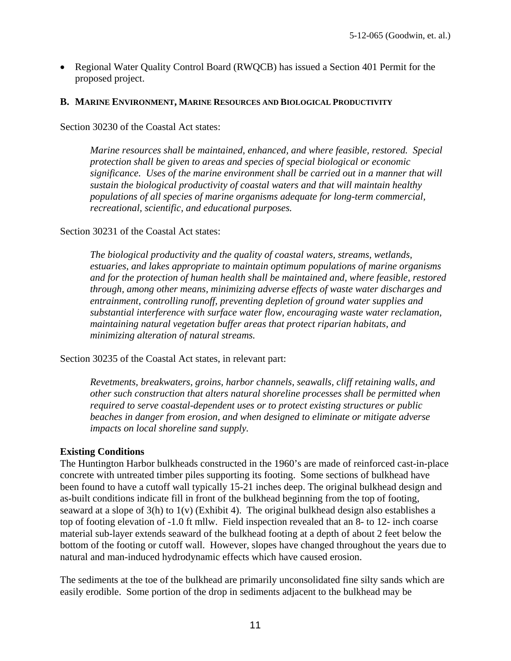Regional Water Quality Control Board (RWQCB) has issued a Section 401 Permit for the proposed project.

#### **B. MARINE ENVIRONMENT, MARINE RESOURCES AND BIOLOGICAL PRODUCTIVITY**

Section 30230 of the Coastal Act states:

*Marine resources shall be maintained, enhanced, and where feasible, restored. Special protection shall be given to areas and species of special biological or economic significance. Uses of the marine environment shall be carried out in a manner that will sustain the biological productivity of coastal waters and that will maintain healthy populations of all species of marine organisms adequate for long-term commercial, recreational, scientific, and educational purposes.*

#### Section 30231 of the Coastal Act states:

*The biological productivity and the quality of coastal waters, streams, wetlands, estuaries, and lakes appropriate to maintain optimum populations of marine organisms and for the protection of human health shall be maintained and, where feasible, restored through, among other means, minimizing adverse effects of waste water discharges and entrainment, controlling runoff, preventing depletion of ground water supplies and substantial interference with surface water flow, encouraging waste water reclamation, maintaining natural vegetation buffer areas that protect riparian habitats, and minimizing alteration of natural streams.* 

Section 30235 of the Coastal Act states, in relevant part:

*Revetments, breakwaters, groins, harbor channels, seawalls, cliff retaining walls, and other such construction that alters natural shoreline processes shall be permitted when required to serve coastal-dependent uses or to protect existing structures or public beaches in danger from erosion, and when designed to eliminate or mitigate adverse impacts on local shoreline sand supply.* 

#### **Existing Conditions**

The Huntington Harbor bulkheads constructed in the 1960's are made of reinforced cast-in-place concrete with untreated timber piles supporting its footing. Some sections of bulkhead have been found to have a cutoff wall typically 15-21 inches deep. The original bulkhead design and as-built conditions indicate fill in front of the bulkhead beginning from the top of footing, seaward at a slope of 3(h) to 1(v) (Exhibit 4). The original bulkhead design also establishes a top of footing elevation of -1.0 ft mllw. Field inspection revealed that an 8- to 12- inch coarse material sub-layer extends seaward of the bulkhead footing at a depth of about 2 feet below the bottom of the footing or cutoff wall. However, slopes have changed throughout the years due to natural and man-induced hydrodynamic effects which have caused erosion.

The sediments at the toe of the bulkhead are primarily unconsolidated fine silty sands which are easily erodible. Some portion of the drop in sediments adjacent to the bulkhead may be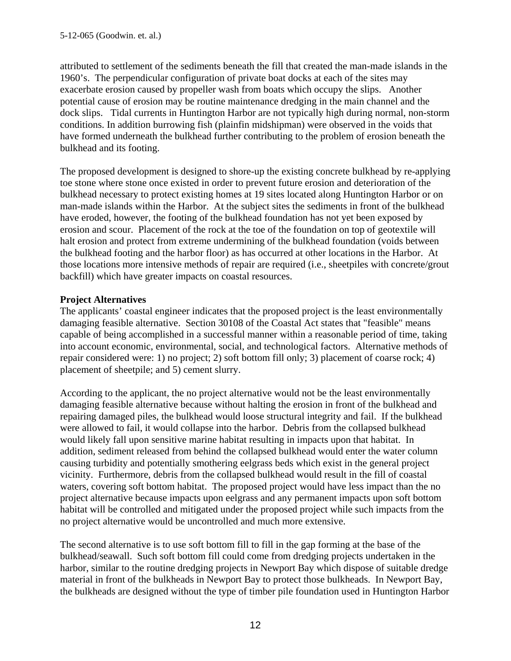attributed to settlement of the sediments beneath the fill that created the man-made islands in the 1960's. The perpendicular configuration of private boat docks at each of the sites may exacerbate erosion caused by propeller wash from boats which occupy the slips. Another potential cause of erosion may be routine maintenance dredging in the main channel and the dock slips. Tidal currents in Huntington Harbor are not typically high during normal, non-storm conditions. In addition burrowing fish (plainfin midshipman) were observed in the voids that have formed underneath the bulkhead further contributing to the problem of erosion beneath the bulkhead and its footing.

The proposed development is designed to shore-up the existing concrete bulkhead by re-applying toe stone where stone once existed in order to prevent future erosion and deterioration of the bulkhead necessary to protect existing homes at 19 sites located along Huntington Harbor or on man-made islands within the Harbor. At the subject sites the sediments in front of the bulkhead have eroded, however, the footing of the bulkhead foundation has not yet been exposed by erosion and scour. Placement of the rock at the toe of the foundation on top of geotextile will halt erosion and protect from extreme undermining of the bulkhead foundation (voids between the bulkhead footing and the harbor floor) as has occurred at other locations in the Harbor. At those locations more intensive methods of repair are required (i.e., sheetpiles with concrete/grout backfill) which have greater impacts on coastal resources.

## **Project Alternatives**

The applicants' coastal engineer indicates that the proposed project is the least environmentally damaging feasible alternative. Section 30108 of the Coastal Act states that "feasible" means capable of being accomplished in a successful manner within a reasonable period of time, taking into account economic, environmental, social, and technological factors. Alternative methods of repair considered were: 1) no project; 2) soft bottom fill only; 3) placement of coarse rock; 4) placement of sheetpile; and 5) cement slurry.

According to the applicant, the no project alternative would not be the least environmentally damaging feasible alternative because without halting the erosion in front of the bulkhead and repairing damaged piles, the bulkhead would loose structural integrity and fail. If the bulkhead were allowed to fail, it would collapse into the harbor. Debris from the collapsed bulkhead would likely fall upon sensitive marine habitat resulting in impacts upon that habitat. In addition, sediment released from behind the collapsed bulkhead would enter the water column causing turbidity and potentially smothering eelgrass beds which exist in the general project vicinity. Furthermore, debris from the collapsed bulkhead would result in the fill of coastal waters, covering soft bottom habitat. The proposed project would have less impact than the no project alternative because impacts upon eelgrass and any permanent impacts upon soft bottom habitat will be controlled and mitigated under the proposed project while such impacts from the no project alternative would be uncontrolled and much more extensive.

The second alternative is to use soft bottom fill to fill in the gap forming at the base of the bulkhead/seawall. Such soft bottom fill could come from dredging projects undertaken in the harbor, similar to the routine dredging projects in Newport Bay which dispose of suitable dredge material in front of the bulkheads in Newport Bay to protect those bulkheads. In Newport Bay, the bulkheads are designed without the type of timber pile foundation used in Huntington Harbor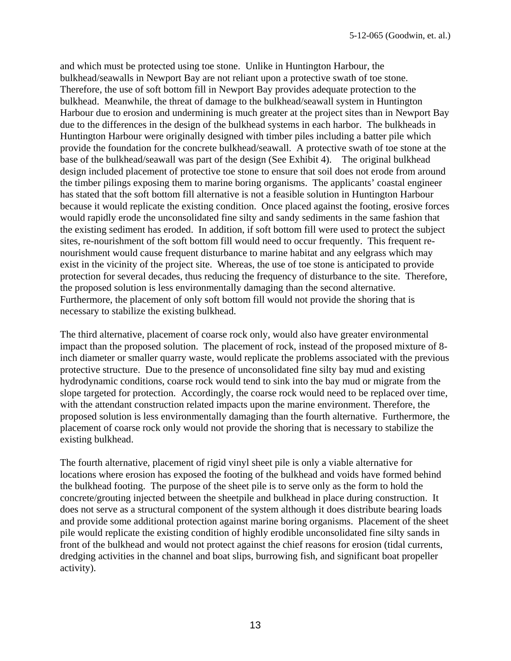and which must be protected using toe stone. Unlike in Huntington Harbour, the bulkhead/seawalls in Newport Bay are not reliant upon a protective swath of toe stone. Therefore, the use of soft bottom fill in Newport Bay provides adequate protection to the bulkhead. Meanwhile, the threat of damage to the bulkhead/seawall system in Huntington Harbour due to erosion and undermining is much greater at the project sites than in Newport Bay due to the differences in the design of the bulkhead systems in each harbor. The bulkheads in Huntington Harbour were originally designed with timber piles including a batter pile which provide the foundation for the concrete bulkhead/seawall. A protective swath of toe stone at the base of the bulkhead/seawall was part of the design (See Exhibit 4). The original bulkhead design included placement of protective toe stone to ensure that soil does not erode from around the timber pilings exposing them to marine boring organisms. The applicants' coastal engineer has stated that the soft bottom fill alternative is not a feasible solution in Huntington Harbour because it would replicate the existing condition. Once placed against the footing, erosive forces would rapidly erode the unconsolidated fine silty and sandy sediments in the same fashion that the existing sediment has eroded. In addition, if soft bottom fill were used to protect the subject sites, re-nourishment of the soft bottom fill would need to occur frequently. This frequent renourishment would cause frequent disturbance to marine habitat and any eelgrass which may exist in the vicinity of the project site. Whereas, the use of toe stone is anticipated to provide protection for several decades, thus reducing the frequency of disturbance to the site. Therefore, the proposed solution is less environmentally damaging than the second alternative. Furthermore, the placement of only soft bottom fill would not provide the shoring that is necessary to stabilize the existing bulkhead.

The third alternative, placement of coarse rock only, would also have greater environmental impact than the proposed solution. The placement of rock, instead of the proposed mixture of 8 inch diameter or smaller quarry waste, would replicate the problems associated with the previous protective structure. Due to the presence of unconsolidated fine silty bay mud and existing hydrodynamic conditions, coarse rock would tend to sink into the bay mud or migrate from the slope targeted for protection. Accordingly, the coarse rock would need to be replaced over time, with the attendant construction related impacts upon the marine environment. Therefore, the proposed solution is less environmentally damaging than the fourth alternative. Furthermore, the placement of coarse rock only would not provide the shoring that is necessary to stabilize the existing bulkhead.

The fourth alternative, placement of rigid vinyl sheet pile is only a viable alternative for locations where erosion has exposed the footing of the bulkhead and voids have formed behind the bulkhead footing. The purpose of the sheet pile is to serve only as the form to hold the concrete/grouting injected between the sheetpile and bulkhead in place during construction. It does not serve as a structural component of the system although it does distribute bearing loads and provide some additional protection against marine boring organisms. Placement of the sheet pile would replicate the existing condition of highly erodible unconsolidated fine silty sands in front of the bulkhead and would not protect against the chief reasons for erosion (tidal currents, dredging activities in the channel and boat slips, burrowing fish, and significant boat propeller activity).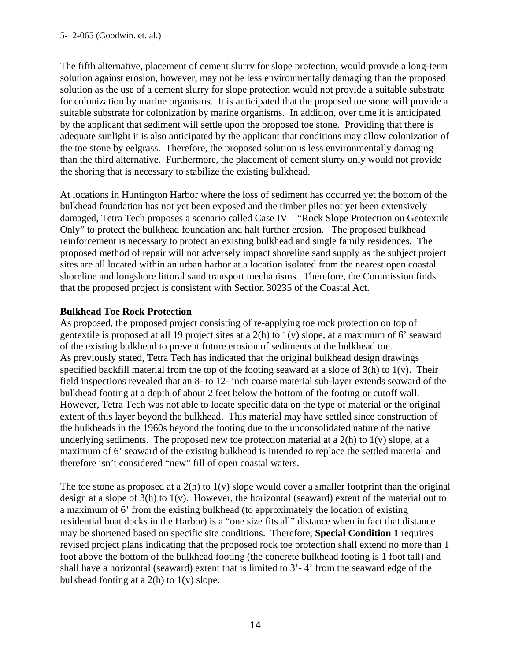The fifth alternative, placement of cement slurry for slope protection, would provide a long-term solution against erosion, however, may not be less environmentally damaging than the proposed solution as the use of a cement slurry for slope protection would not provide a suitable substrate for colonization by marine organisms. It is anticipated that the proposed toe stone will provide a suitable substrate for colonization by marine organisms. In addition, over time it is anticipated by the applicant that sediment will settle upon the proposed toe stone. Providing that there is adequate sunlight it is also anticipated by the applicant that conditions may allow colonization of the toe stone by eelgrass. Therefore, the proposed solution is less environmentally damaging than the third alternative. Furthermore, the placement of cement slurry only would not provide the shoring that is necessary to stabilize the existing bulkhead.

At locations in Huntington Harbor where the loss of sediment has occurred yet the bottom of the bulkhead foundation has not yet been exposed and the timber piles not yet been extensively damaged, Tetra Tech proposes a scenario called Case IV – "Rock Slope Protection on Geotextile Only" to protect the bulkhead foundation and halt further erosion. The proposed bulkhead reinforcement is necessary to protect an existing bulkhead and single family residences. The proposed method of repair will not adversely impact shoreline sand supply as the subject project sites are all located within an urban harbor at a location isolated from the nearest open coastal shoreline and longshore littoral sand transport mechanisms. Therefore, the Commission finds that the proposed project is consistent with Section 30235 of the Coastal Act.

# **Bulkhead Toe Rock Protection**

As proposed, the proposed project consisting of re-applying toe rock protection on top of geotextile is proposed at all 19 project sites at a 2(h) to 1(v) slope, at a maximum of 6' seaward of the existing bulkhead to prevent future erosion of sediments at the bulkhead toe. As previously stated, Tetra Tech has indicated that the original bulkhead design drawings specified backfill material from the top of the footing seaward at a slope of 3(h) to 1(v). Their field inspections revealed that an 8- to 12- inch coarse material sub-layer extends seaward of the bulkhead footing at a depth of about 2 feet below the bottom of the footing or cutoff wall. However, Tetra Tech was not able to locate specific data on the type of material or the original extent of this layer beyond the bulkhead. This material may have settled since construction of the bulkheads in the 1960s beyond the footing due to the unconsolidated nature of the native underlying sediments. The proposed new toe protection material at a  $2(h)$  to  $1(v)$  slope, at a maximum of 6' seaward of the existing bulkhead is intended to replace the settled material and therefore isn't considered "new" fill of open coastal waters.

The toe stone as proposed at a  $2(h)$  to  $1(v)$  slope would cover a smaller footprint than the original design at a slope of 3(h) to 1(v). However, the horizontal (seaward) extent of the material out to a maximum of 6' from the existing bulkhead (to approximately the location of existing residential boat docks in the Harbor) is a "one size fits all" distance when in fact that distance may be shortened based on specific site conditions. Therefore, **Special Condition 1** requires revised project plans indicating that the proposed rock toe protection shall extend no more than 1 foot above the bottom of the bulkhead footing (the concrete bulkhead footing is 1 foot tall) and shall have a horizontal (seaward) extent that is limited to 3'- 4' from the seaward edge of the bulkhead footing at a  $2(h)$  to  $1(v)$  slope.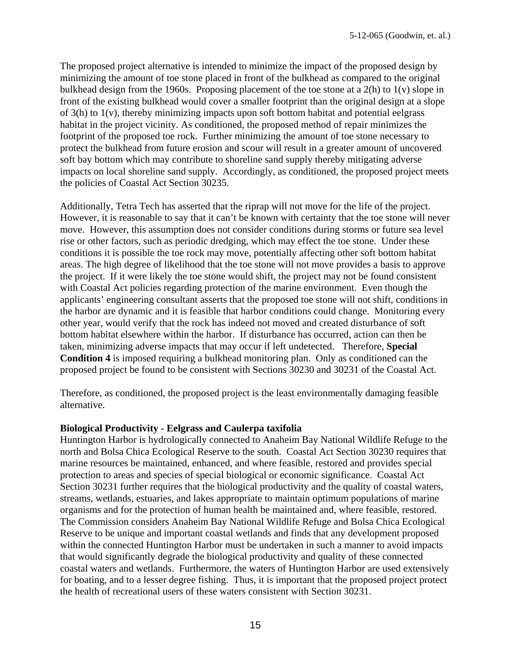The proposed project alternative is intended to minimize the impact of the proposed design by minimizing the amount of toe stone placed in front of the bulkhead as compared to the original bulkhead design from the 1960s. Proposing placement of the toe stone at a 2(h) to 1(v) slope in front of the existing bulkhead would cover a smaller footprint than the original design at a slope of 3(h) to 1(v), thereby minimizing impacts upon soft bottom habitat and potential eelgrass habitat in the project vicinity. As conditioned, the proposed method of repair minimizes the footprint of the proposed toe rock. Further minimizing the amount of toe stone necessary to protect the bulkhead from future erosion and scour will result in a greater amount of uncovered soft bay bottom which may contribute to shoreline sand supply thereby mitigating adverse impacts on local shoreline sand supply. Accordingly, as conditioned, the proposed project meets the policies of Coastal Act Section 30235.

Additionally, Tetra Tech has asserted that the riprap will not move for the life of the project. However, it is reasonable to say that it can't be known with certainty that the toe stone will never move. However, this assumption does not consider conditions during storms or future sea level rise or other factors, such as periodic dredging, which may effect the toe stone. Under these conditions it is possible the toe rock may move, potentially affecting other soft bottom habitat areas. The high degree of likelihood that the toe stone will not move provides a basis to approve the project. If it were likely the toe stone would shift, the project may not be found consistent with Coastal Act policies regarding protection of the marine environment. Even though the applicants' engineering consultant asserts that the proposed toe stone will not shift, conditions in the harbor are dynamic and it is feasible that harbor conditions could change. Monitoring every other year, would verify that the rock has indeed not moved and created disturbance of soft bottom habitat elsewhere within the harbor. If disturbance has occurred, action can then be taken, minimizing adverse impacts that may occur if left undetected. Therefore, **Special Condition 4** is imposed requiring a bulkhead monitoring plan. Only as conditioned can the proposed project be found to be consistent with Sections 30230 and 30231 of the Coastal Act.

Therefore, as conditioned, the proposed project is the least environmentally damaging feasible alternative.

#### **Biological Productivity - Eelgrass and Caulerpa taxifolia**

Huntington Harbor is hydrologically connected to Anaheim Bay National Wildlife Refuge to the north and Bolsa Chica Ecological Reserve to the south. Coastal Act Section 30230 requires that marine resources be maintained, enhanced, and where feasible, restored and provides special protection to areas and species of special biological or economic significance. Coastal Act Section 30231 further requires that the biological productivity and the quality of coastal waters, streams, wetlands, estuaries, and lakes appropriate to maintain optimum populations of marine organisms and for the protection of human health be maintained and, where feasible, restored. The Commission considers Anaheim Bay National Wildlife Refuge and Bolsa Chica Ecological Reserve to be unique and important coastal wetlands and finds that any development proposed within the connected Huntington Harbor must be undertaken in such a manner to avoid impacts that would significantly degrade the biological productivity and quality of these connected coastal waters and wetlands. Furthermore, the waters of Huntington Harbor are used extensively for boating, and to a lesser degree fishing. Thus, it is important that the proposed project protect the health of recreational users of these waters consistent with Section 30231.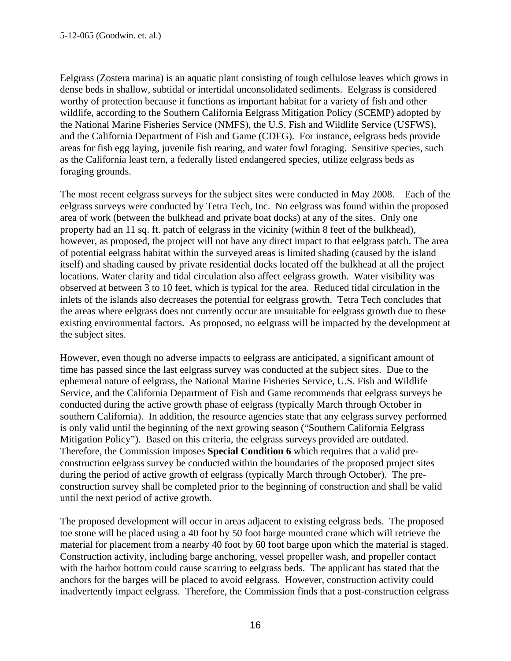Eelgrass (Zostera marina) is an aquatic plant consisting of tough cellulose leaves which grows in dense beds in shallow, subtidal or intertidal unconsolidated sediments. Eelgrass is considered worthy of protection because it functions as important habitat for a variety of fish and other wildlife, according to the Southern California Eelgrass Mitigation Policy (SCEMP) adopted by the National Marine Fisheries Service (NMFS), the U.S. Fish and Wildlife Service (USFWS), and the California Department of Fish and Game (CDFG). For instance, eelgrass beds provide areas for fish egg laying, juvenile fish rearing, and water fowl foraging. Sensitive species, such as the California least tern, a federally listed endangered species, utilize eelgrass beds as foraging grounds.

The most recent eelgrass surveys for the subject sites were conducted in May 2008. Each of the eelgrass surveys were conducted by Tetra Tech, Inc. No eelgrass was found within the proposed area of work (between the bulkhead and private boat docks) at any of the sites. Only one property had an 11 sq. ft. patch of eelgrass in the vicinity (within 8 feet of the bulkhead), however, as proposed, the project will not have any direct impact to that eelgrass patch. The area of potential eelgrass habitat within the surveyed areas is limited shading (caused by the island itself) and shading caused by private residential docks located off the bulkhead at all the project locations. Water clarity and tidal circulation also affect eelgrass growth. Water visibility was observed at between 3 to 10 feet, which is typical for the area. Reduced tidal circulation in the inlets of the islands also decreases the potential for eelgrass growth. Tetra Tech concludes that the areas where eelgrass does not currently occur are unsuitable for eelgrass growth due to these existing environmental factors. As proposed, no eelgrass will be impacted by the development at the subject sites.

However, even though no adverse impacts to eelgrass are anticipated, a significant amount of time has passed since the last eelgrass survey was conducted at the subject sites. Due to the ephemeral nature of eelgrass, the National Marine Fisheries Service, U.S. Fish and Wildlife Service, and the California Department of Fish and Game recommends that eelgrass surveys be conducted during the active growth phase of eelgrass (typically March through October in southern California). In addition, the resource agencies state that any eelgrass survey performed is only valid until the beginning of the next growing season ("Southern California Eelgrass Mitigation Policy"). Based on this criteria, the eelgrass surveys provided are outdated. Therefore, the Commission imposes **Special Condition 6** which requires that a valid preconstruction eelgrass survey be conducted within the boundaries of the proposed project sites during the period of active growth of eelgrass (typically March through October). The preconstruction survey shall be completed prior to the beginning of construction and shall be valid until the next period of active growth.

The proposed development will occur in areas adjacent to existing eelgrass beds. The proposed toe stone will be placed using a 40 foot by 50 foot barge mounted crane which will retrieve the material for placement from a nearby 40 foot by 60 foot barge upon which the material is staged. Construction activity, including barge anchoring, vessel propeller wash, and propeller contact with the harbor bottom could cause scarring to eelgrass beds. The applicant has stated that the anchors for the barges will be placed to avoid eelgrass. However, construction activity could inadvertently impact eelgrass. Therefore, the Commission finds that a post-construction eelgrass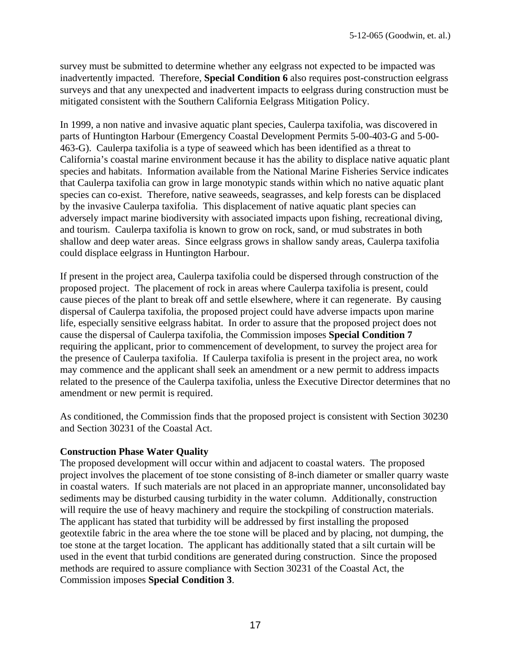survey must be submitted to determine whether any eelgrass not expected to be impacted was inadvertently impacted. Therefore, **Special Condition 6** also requires post-construction eelgrass surveys and that any unexpected and inadvertent impacts to eelgrass during construction must be mitigated consistent with the Southern California Eelgrass Mitigation Policy.

In 1999, a non native and invasive aquatic plant species, Caulerpa taxifolia, was discovered in parts of Huntington Harbour (Emergency Coastal Development Permits 5-00-403-G and 5-00- 463-G). Caulerpa taxifolia is a type of seaweed which has been identified as a threat to California's coastal marine environment because it has the ability to displace native aquatic plant species and habitats. Information available from the National Marine Fisheries Service indicates that Caulerpa taxifolia can grow in large monotypic stands within which no native aquatic plant species can co-exist. Therefore, native seaweeds, seagrasses, and kelp forests can be displaced by the invasive Caulerpa taxifolia. This displacement of native aquatic plant species can adversely impact marine biodiversity with associated impacts upon fishing, recreational diving, and tourism. Caulerpa taxifolia is known to grow on rock, sand, or mud substrates in both shallow and deep water areas. Since eelgrass grows in shallow sandy areas, Caulerpa taxifolia could displace eelgrass in Huntington Harbour.

If present in the project area, Caulerpa taxifolia could be dispersed through construction of the proposed project. The placement of rock in areas where Caulerpa taxifolia is present, could cause pieces of the plant to break off and settle elsewhere, where it can regenerate. By causing dispersal of Caulerpa taxifolia, the proposed project could have adverse impacts upon marine life, especially sensitive eelgrass habitat. In order to assure that the proposed project does not cause the dispersal of Caulerpa taxifolia, the Commission imposes **Special Condition 7** requiring the applicant, prior to commencement of development, to survey the project area for the presence of Caulerpa taxifolia. If Caulerpa taxifolia is present in the project area, no work may commence and the applicant shall seek an amendment or a new permit to address impacts related to the presence of the Caulerpa taxifolia, unless the Executive Director determines that no amendment or new permit is required.

As conditioned, the Commission finds that the proposed project is consistent with Section 30230 and Section 30231 of the Coastal Act.

#### **Construction Phase Water Quality**

The proposed development will occur within and adjacent to coastal waters. The proposed project involves the placement of toe stone consisting of 8-inch diameter or smaller quarry waste in coastal waters. If such materials are not placed in an appropriate manner, unconsolidated bay sediments may be disturbed causing turbidity in the water column. Additionally, construction will require the use of heavy machinery and require the stockpiling of construction materials. The applicant has stated that turbidity will be addressed by first installing the proposed geotextile fabric in the area where the toe stone will be placed and by placing, not dumping, the toe stone at the target location. The applicant has additionally stated that a silt curtain will be used in the event that turbid conditions are generated during construction. Since the proposed methods are required to assure compliance with Section 30231 of the Coastal Act, the Commission imposes **Special Condition 3**.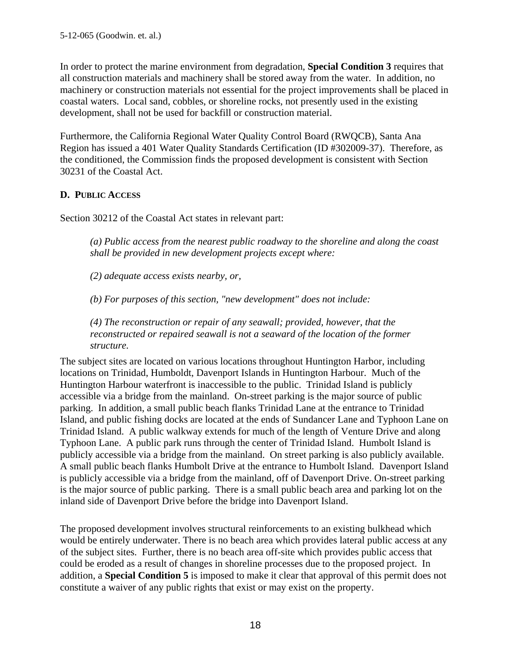In order to protect the marine environment from degradation, **Special Condition 3** requires that all construction materials and machinery shall be stored away from the water. In addition, no machinery or construction materials not essential for the project improvements shall be placed in coastal waters. Local sand, cobbles, or shoreline rocks, not presently used in the existing development, shall not be used for backfill or construction material.

Furthermore, the California Regional Water Quality Control Board (RWQCB), Santa Ana Region has issued a 401 Water Quality Standards Certification (ID #302009-37). Therefore, as the conditioned, the Commission finds the proposed development is consistent with Section 30231 of the Coastal Act.

## **D. PUBLIC ACCESS**

Section 30212 of the Coastal Act states in relevant part:

*(a) Public access from the nearest public roadway to the shoreline and along the coast shall be provided in new development projects except where:* 

*(2) adequate access exists nearby, or,* 

*(b) For purposes of this section, "new development" does not include:* 

*(4) The reconstruction or repair of any seawall; provided, however, that the reconstructed or repaired seawall is not a seaward of the location of the former structure.* 

The subject sites are located on various locations throughout Huntington Harbor, including locations on Trinidad, Humboldt, Davenport Islands in Huntington Harbour. Much of the Huntington Harbour waterfront is inaccessible to the public. Trinidad Island is publicly accessible via a bridge from the mainland. On-street parking is the major source of public parking. In addition, a small public beach flanks Trinidad Lane at the entrance to Trinidad Island, and public fishing docks are located at the ends of Sundancer Lane and Typhoon Lane on Trinidad Island. A public walkway extends for much of the length of Venture Drive and along Typhoon Lane. A public park runs through the center of Trinidad Island. Humbolt Island is publicly accessible via a bridge from the mainland. On street parking is also publicly available. A small public beach flanks Humbolt Drive at the entrance to Humbolt Island. Davenport Island is publicly accessible via a bridge from the mainland, off of Davenport Drive. On-street parking is the major source of public parking. There is a small public beach area and parking lot on the inland side of Davenport Drive before the bridge into Davenport Island.

The proposed development involves structural reinforcements to an existing bulkhead which would be entirely underwater. There is no beach area which provides lateral public access at any of the subject sites. Further, there is no beach area off-site which provides public access that could be eroded as a result of changes in shoreline processes due to the proposed project. In addition, a **Special Condition 5** is imposed to make it clear that approval of this permit does not constitute a waiver of any public rights that exist or may exist on the property.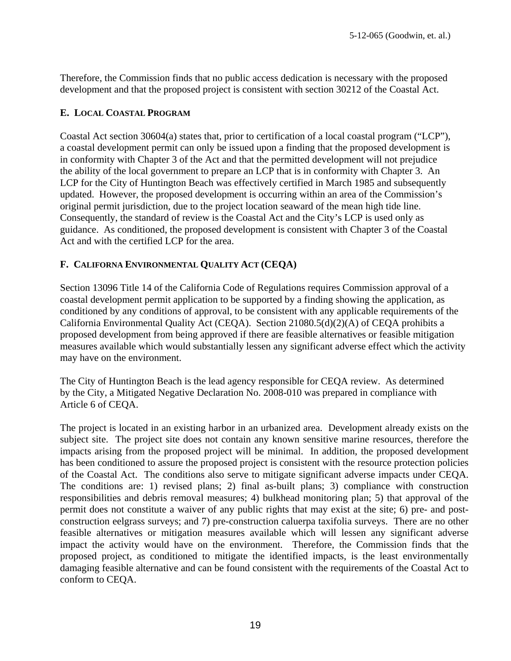Therefore, the Commission finds that no public access dedication is necessary with the proposed development and that the proposed project is consistent with section 30212 of the Coastal Act.

#### **E. LOCAL COASTAL PROGRAM**

Coastal Act section 30604(a) states that, prior to certification of a local coastal program ("LCP"), a coastal development permit can only be issued upon a finding that the proposed development is in conformity with Chapter 3 of the Act and that the permitted development will not prejudice the ability of the local government to prepare an LCP that is in conformity with Chapter 3. An LCP for the City of Huntington Beach was effectively certified in March 1985 and subsequently updated. However, the proposed development is occurring within an area of the Commission's original permit jurisdiction, due to the project location seaward of the mean high tide line. Consequently, the standard of review is the Coastal Act and the City's LCP is used only as guidance. As conditioned, the proposed development is consistent with Chapter 3 of the Coastal Act and with the certified LCP for the area.

## **F. CALIFORNA ENVIRONMENTAL QUALITY ACT (CEQA)**

Section 13096 Title 14 of the California Code of Regulations requires Commission approval of a coastal development permit application to be supported by a finding showing the application, as conditioned by any conditions of approval, to be consistent with any applicable requirements of the California Environmental Quality Act (CEQA). Section 21080.5(d)(2)(A) of CEQA prohibits a proposed development from being approved if there are feasible alternatives or feasible mitigation measures available which would substantially lessen any significant adverse effect which the activity may have on the environment.

The City of Huntington Beach is the lead agency responsible for CEQA review. As determined by the City, a Mitigated Negative Declaration No. 2008-010 was prepared in compliance with Article 6 of CEQA.

The project is located in an existing harbor in an urbanized area. Development already exists on the subject site. The project site does not contain any known sensitive marine resources, therefore the impacts arising from the proposed project will be minimal. In addition, the proposed development has been conditioned to assure the proposed project is consistent with the resource protection policies of the Coastal Act. The conditions also serve to mitigate significant adverse impacts under CEQA. The conditions are: 1) revised plans; 2) final as-built plans; 3) compliance with construction responsibilities and debris removal measures; 4) bulkhead monitoring plan; 5) that approval of the permit does not constitute a waiver of any public rights that may exist at the site; 6) pre- and postconstruction eelgrass surveys; and 7) pre-construction caluerpa taxifolia surveys. There are no other feasible alternatives or mitigation measures available which will lessen any significant adverse impact the activity would have on the environment. Therefore, the Commission finds that the proposed project, as conditioned to mitigate the identified impacts, is the least environmentally damaging feasible alternative and can be found consistent with the requirements of the Coastal Act to conform to CEQA.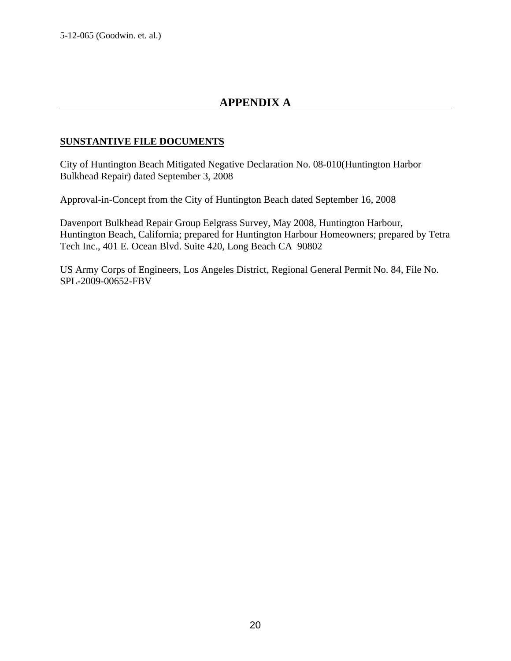# **APPENDIX A**

## **SUNSTANTIVE FILE DOCUMENTS**

City of Huntington Beach Mitigated Negative Declaration No. 08-010(Huntington Harbor Bulkhead Repair) dated September 3, 2008

Approval-in-Concept from the City of Huntington Beach dated September 16, 2008

Davenport Bulkhead Repair Group Eelgrass Survey, May 2008, Huntington Harbour, Huntington Beach, California; prepared for Huntington Harbour Homeowners; prepared by Tetra Tech Inc., 401 E. Ocean Blvd. Suite 420, Long Beach CA 90802

US Army Corps of Engineers, Los Angeles District, Regional General Permit No. 84, File No. SPL-2009-00652-FBV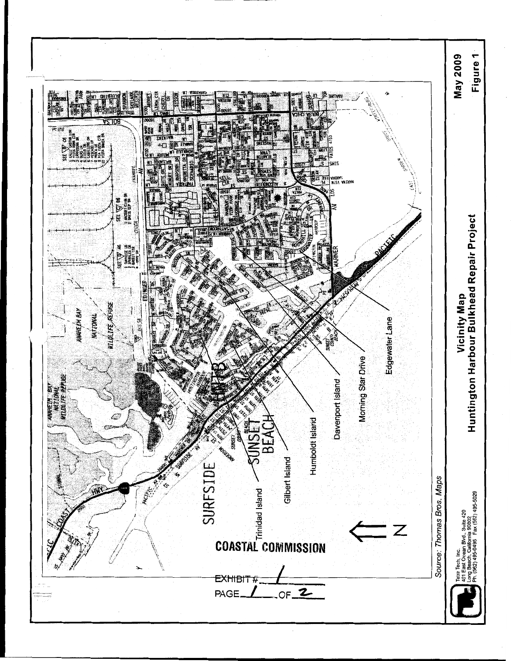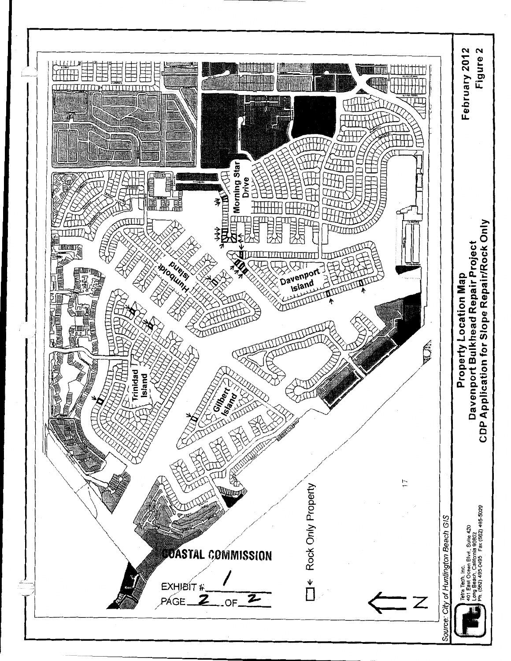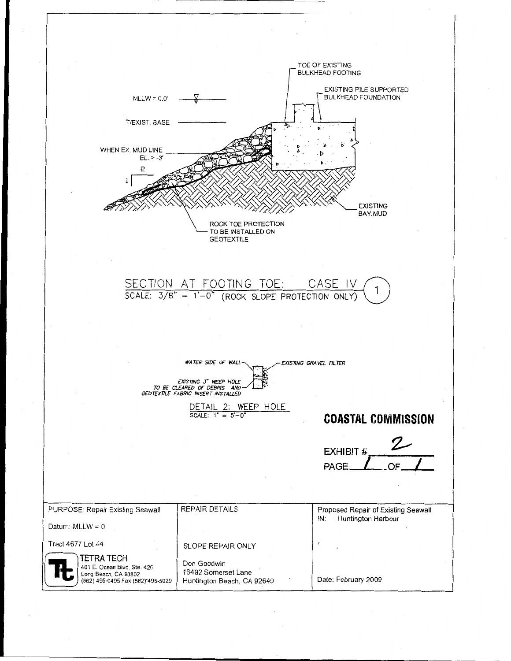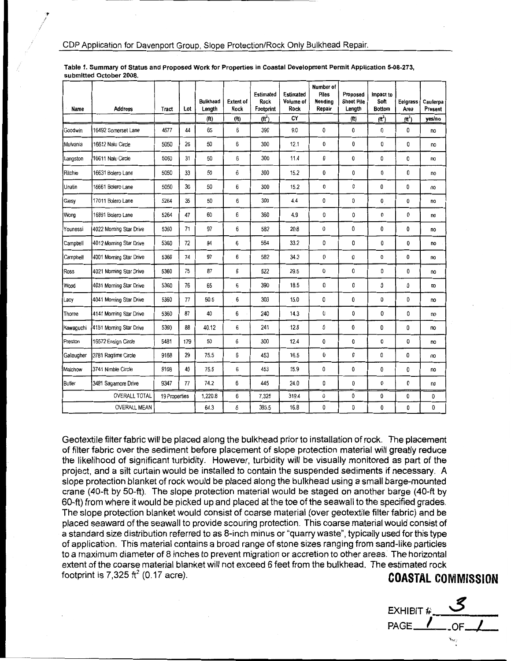| Name                 | Address                 | Tract         | Lot | <b>Buikhead</b><br>Length | <b>Extent of</b><br>Rock | Estimated<br>Rock<br>Footprint | Estimated<br>Volume of<br>Rock | Number of<br>Piles<br>Needing<br>Repair | Proposed<br><b>Sheet Pile</b><br>Length | Impact to<br>Soft<br><b>Bottom</b> | Eelgrass<br>Area | Caulerpa<br>Present |
|----------------------|-------------------------|---------------|-----|---------------------------|--------------------------|--------------------------------|--------------------------------|-----------------------------------------|-----------------------------------------|------------------------------------|------------------|---------------------|
|                      |                         |               |     | (f <sup>t</sup> )         | (f <sup>t</sup> )        | $(\text{ft}^2)$                | CY                             |                                         | (f <sup>t</sup> )                       | $(\text{ft}^2)$                    | $(f{t}^2)$       | yes/no              |
| Goodwin              | 16492 Somerset Lane     | 4677          | 44  | 65                        | 6                        | 390                            | 9.0                            | 0                                       | 0                                       | 0                                  | 0                | <b>no</b>           |
| Mulvania             | 16612 Naiu Circle       | 5050          | 26  | 50                        | 6                        | 300                            | 12.1                           | 0                                       | 0                                       | 0                                  | 0                | no                  |
| Langston             | 16611 Nalu Circle       | 5050          | 31  | 50                        | 6                        | 300                            | 11.4                           | 0                                       | 0                                       | 0                                  | 0                | no                  |
| Ritchie              | 16631 Bolero Lane       | 5050          | 33  | 50                        | 6                        | 300                            | 15.2                           | 0                                       | 0                                       | 0                                  | 0                | no                  |
| Unatin               | 16661 Bolero Lane       | 5050          | 36  | 50                        | 6                        | 300                            | 15.2                           | 0                                       | 0                                       | 0                                  | 0                | no                  |
| Giesy                | 17011 Bolero Lane       | 5264          | 35  | 50                        | 6                        | 300                            | 4.4                            | 0                                       | 0                                       | 0                                  | 0                | no                  |
| Wong                 | 16891 Bolero Lane       | 5264          | 47  | 60                        | 6                        | 360                            | 4.9                            | 0                                       | 0                                       | 0                                  | 0                | no                  |
| Younessi             | 4022 Morning Star Drive | 5360          | 71  | 97                        | 6                        | 582                            | 20.8                           | 0                                       | 0                                       | 0                                  | 0                | no                  |
| Campbell             | 4012 Morning Star Drive | 5360          | 72  | 94                        | 6                        | 564                            | 33.2                           | 0                                       | 0                                       | 0                                  | 0                | no                  |
| <b>Campbell</b>      | 4001 Morning Star Drive | 5360          | 74  | 97                        | 6                        | 582                            | 34.3                           | 0                                       | 0                                       | 0                                  | 0                | no                  |
| Ross                 | 4021 Morning Star Drive | 5360          | 75  | 87                        | 6                        | 522                            | 29.5                           | 0                                       | 0                                       | 0                                  | 0                | no                  |
| Wood                 | 4031 Morning Star Drive | 5360          | 76  | 65                        | 6                        | 390                            | 18.5                           | 0                                       | 0                                       | 0                                  | 0                | no                  |
| Lacy                 | 4041 Morning Star Drive | 5360          | 77  | 50.5                      | 6                        | 303                            | 15.0                           | 0                                       | 0                                       | 0                                  | 0                | no                  |
| Thorne               | 4141 Morning Star Drive | 5360          | 87  | 40                        | 6                        | 240                            | 14.3                           | 0                                       | 0                                       | 0                                  | 0                | no                  |
| Kawaguchi            | 4151 Morning Star Drive | 5360          | 88  | 40.12                     | 6                        | 241                            | 12.8                           | 0                                       | 0                                       | 0                                  | 0                | no                  |
| Preston              | 16572 Ensign Circle     | 5481          | 179 | 50                        | 6                        | 300                            | 12.4                           | 0                                       | 0                                       | 0                                  | 0                | no                  |
| Gallaugher           | 3781 Ragtime Circle     | 9168          | 29  | 75.5                      | 6                        | 453                            | 16.5                           | 0                                       | 0                                       | 0                                  | 0                | no                  |
| Malchow              | 3741 Nimble Circle      | 9168          | 40  | 75.5                      | 6                        | 453                            | 15.9                           | 0                                       | 0                                       | 0                                  | 0                | no                  |
| <b>Butler</b>        | 3481 Sagamore Drive     | 9347          | 77  | 74.2                      | 6                        | 445                            | 24.0                           | 0                                       | 0                                       | 0                                  | 0                | no                  |
| <b>OVERALL TOTAL</b> |                         | 19 Properties |     | 1,220.8                   | 6                        | 7,325                          | 319.4                          | 0                                       | 0                                       | 0                                  | 0                | 0                   |
| <b>OVERALL MEAN</b>  |                         |               |     | 64.3                      | 6                        | 385.5                          | 16.8                           | 0                                       | 0                                       | 0                                  | 0                | 0                   |

Table 1. Summary of Status and Proposed Work for Properties in Coastal Development Permit Application 5-08-273, submitted October 2008.

Geotextile filter fabric will be placed along the bulkhead prior to installation of rock. The placement of filter fabric over the sediment before placement of slope protection material will greatly reduce the likelihood of significant turbidity. However, turbidity will be visually monitored as part of the project, and a silt curtain would be installed to contain the suspended sediments if necessary. A slope protection blanket of rock would be placed along the bulkhead using a small barge-mounted crane (40-ft by 50-ft). The slope protection material would be staged on another barge (40-ft by 60-ft) from where it would be picked up and placed at the toe of the seawall to the specified grades. The slope protection blanket would consist of coarse material (over geotextile filter fabric) and be placed seaward of the seawall to provide scouring protection. This coarse material would consist of a standard size distribution referred to as 8-inch minus or "quarry waste", typically used for this type of application. This material contains a broad range of stone sizes ranging from sand-like particles to a maximum diameter of 8 inches to prevent migration or accretion to other areas. The horizontal extent of the coarse material blanket will not exceed 6 feet from the bulkhead. The estimated rock footprint is 7,325  $\text{ft}^2$  (0.17 acre).

## **COASTAL COMMISSION**

EXHIBIT  $\#$  $PAGE$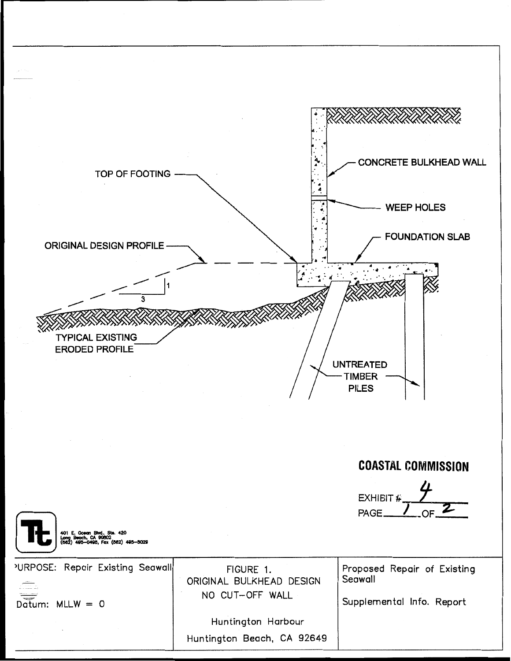